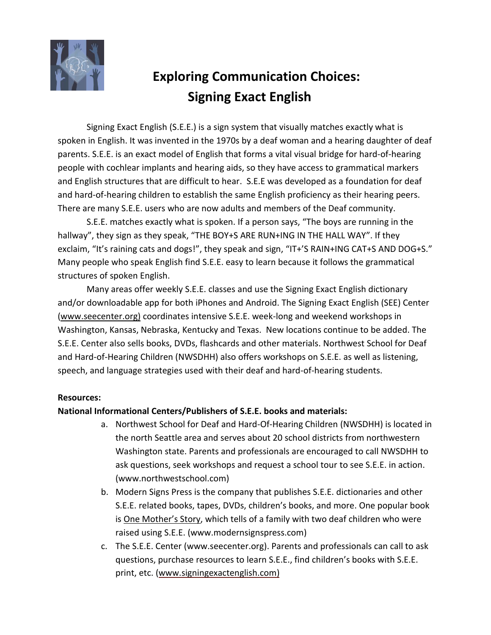

## **Exploring Communication Choices: Signing Exact English**

Signing Exact English (S.E.E.) is a sign system that visually matches exactly what is spoken in English. It was invented in the 1970s by a deaf woman and a hearing daughter of deaf parents. S.E.E. is an exact model of English that forms a vital visual bridge for hard-of-hearing people with cochlear implants and hearing aids, so they have access to grammatical markers and English structures that are difficult to hear. S.E.E was developed as a foundation for deaf and hard-of-hearing children to establish the same English proficiency as their hearing peers. There are many S.E.E. users who are now adults and members of the Deaf community.

S.E.E. matches exactly what is spoken. If a person says, "The boys are running in the hallway", they sign as they speak, "THE BOY+S ARE RUN+ING IN THE HALL WAY". If they exclaim, "It's raining cats and dogs!", they speak and sign, "IT+'S RAIN+ING CAT+S AND DOG+S." Many people who speak English find S.E.E. easy to learn because it follows the grammatical structures of spoken English.

Many areas offer weekly S.E.E. classes and use the Signing Exact English dictionary and/or downloadable app for both iPhones and Android. The Signing Exact English (SEE) Center [\(www.seecenter.org\)](http://www.seecenter.org)/) coordinates intensive S.E.E. week-long and weekend workshops in Washington, Kansas, Nebraska, Kentucky and Texas. New locations continue to be added. The S.E.E. Center also sells books, DVDs, flashcards and other materials. Northwest School for Deaf and Hard-of-Hearing Children (NWSDHH) also offers workshops on S.E.E. as well as listening, speech, and language strategies used with their deaf and hard-of-hearing students.

## **Resources:**

## **National Informational Centers/Publishers of S.E.E. books and materials:**

- a. Northwest School for Deaf and Hard-Of-Hearing Children (NWSDHH) is located in the north Seattle area and serves about 20 school districts from northwestern Washington state. Parents and professionals are encouraged to call NWSDHH to ask questions, seek workshops and request a school tour to see S.E.E. in action. [\(www.northwestschool.com\)](http://www.northwestschool.com)/)
- b. Modern Signs Press is the company that publishes S.E.E. dictionaries and other S.E.E. related books, tapes, DVDs, children's books, and more. One popular book is One Mother's Story, which tells of a family with two deaf children who were raised using S.E.E. [\(www.modernsignspress.com\)](http://www.modernsignspress.com/)
- c. The S.E.E. Center (www.seecenter.org). Parents and professionals can call to ask questions, purchase resources to learn S.E.E., find children's books with S.E.E. print, etc. [\(www.signingexactenglish.com\)](http://www.signingexactenglish.com/)